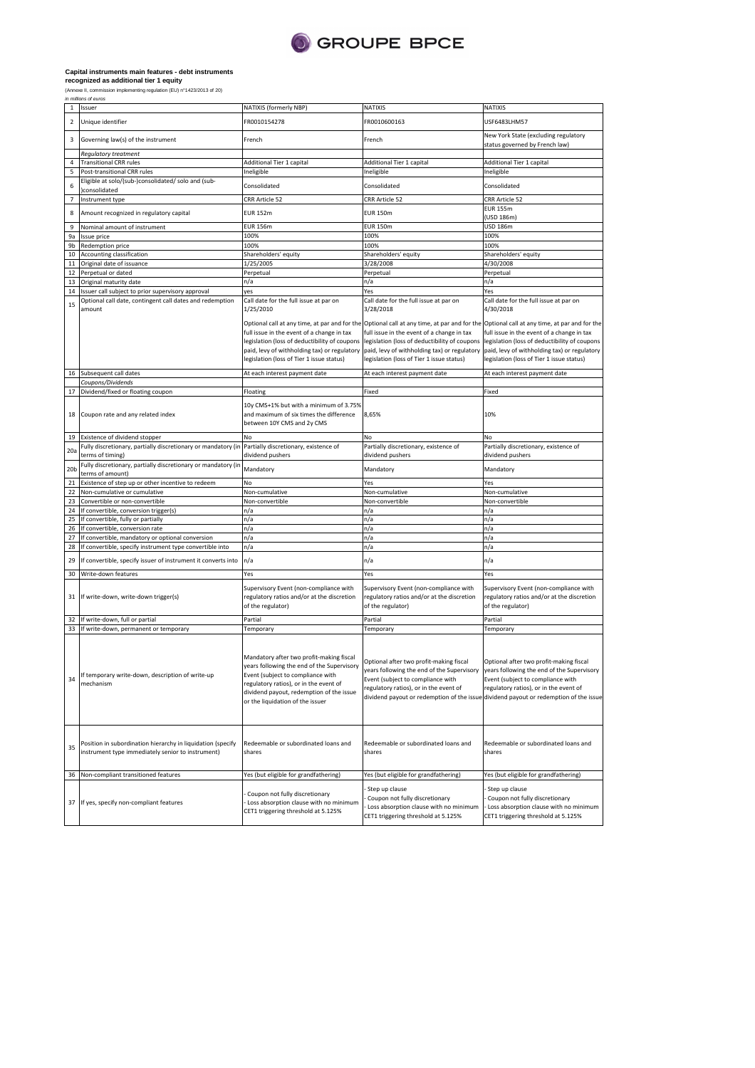

## **Capital instruments main features - debt instruments recognized as additional tier 1 equity**

(Annexe II, commission implementing regulation (EU) n°1423/2013 of 20) in millions of euros

| $\mathbf{1}$   | Issuer                                                                                                           | NATIXIS (formerly NBP)                                                                                                                                                                                                                                | <b>NATIXIS</b>                                                                                                                                                                                                    | NATIXIS                                                                                                                                                                                                            |
|----------------|------------------------------------------------------------------------------------------------------------------|-------------------------------------------------------------------------------------------------------------------------------------------------------------------------------------------------------------------------------------------------------|-------------------------------------------------------------------------------------------------------------------------------------------------------------------------------------------------------------------|--------------------------------------------------------------------------------------------------------------------------------------------------------------------------------------------------------------------|
| 2              | Unique identifier                                                                                                | FR0010154278                                                                                                                                                                                                                                          | FR0010600163                                                                                                                                                                                                      | USF6483LHM57                                                                                                                                                                                                       |
| 3              | Governing law(s) of the instrument                                                                               | French                                                                                                                                                                                                                                                | French                                                                                                                                                                                                            | New York State (excluding regulatory<br>status governed by French law)                                                                                                                                             |
|                | Regulatory treatment                                                                                             |                                                                                                                                                                                                                                                       |                                                                                                                                                                                                                   |                                                                                                                                                                                                                    |
| 4              | <b>Transitional CRR rules</b>                                                                                    | Additional Tier 1 capital                                                                                                                                                                                                                             | Additional Tier 1 capital                                                                                                                                                                                         | Additional Tier 1 capital                                                                                                                                                                                          |
| 5              | Post-transitional CRR rules                                                                                      | Ineligible                                                                                                                                                                                                                                            | Ineligible                                                                                                                                                                                                        | Ineligible                                                                                                                                                                                                         |
| 6              | Eligible at solo/(sub-)consolidated/ solo and (sub-<br>consolidated                                              | Consolidated                                                                                                                                                                                                                                          | Consolidated                                                                                                                                                                                                      | Consolidated                                                                                                                                                                                                       |
| $\overline{7}$ | Instrument type                                                                                                  | CRR Article 52                                                                                                                                                                                                                                        | CRR Article 52                                                                                                                                                                                                    | CRR Article 52                                                                                                                                                                                                     |
| 8              | Amount recognized in regulatory capital                                                                          | <b>EUR 152m</b>                                                                                                                                                                                                                                       | <b>EUR 150m</b>                                                                                                                                                                                                   | <b>EUR 155m</b><br>(USD 186m)                                                                                                                                                                                      |
| 9              | Nominal amount of instrument                                                                                     | <b>EUR 156m</b>                                                                                                                                                                                                                                       | <b>EUR 150m</b>                                                                                                                                                                                                   | <b>USD 186m</b>                                                                                                                                                                                                    |
| 9a             | Issue price                                                                                                      | 100%                                                                                                                                                                                                                                                  | 100%                                                                                                                                                                                                              | 100%                                                                                                                                                                                                               |
| 9b             | Redemption price                                                                                                 | 100%                                                                                                                                                                                                                                                  | 100%                                                                                                                                                                                                              | 100%                                                                                                                                                                                                               |
| 10             | Accounting classification                                                                                        | Shareholders' equity                                                                                                                                                                                                                                  | Shareholders' equity                                                                                                                                                                                              | Shareholders' equity                                                                                                                                                                                               |
| 11             | Original date of issuance                                                                                        | 1/25/2005                                                                                                                                                                                                                                             | 3/28/2008                                                                                                                                                                                                         | 4/30/2008                                                                                                                                                                                                          |
| 12             | Perpetual or dated                                                                                               | Perpetual                                                                                                                                                                                                                                             | Perpetual                                                                                                                                                                                                         | Perpetual                                                                                                                                                                                                          |
| 13             | Original maturity date                                                                                           | n/a                                                                                                                                                                                                                                                   | n/a                                                                                                                                                                                                               | n/a                                                                                                                                                                                                                |
|                | 14 Issuer call subject to prior supervisory approval                                                             | yes                                                                                                                                                                                                                                                   | Yes                                                                                                                                                                                                               | Yes                                                                                                                                                                                                                |
| 15             | Optional call date, contingent call dates and redemption<br>amount                                               | Call date for the full issue at par on<br>1/25/2010                                                                                                                                                                                                   | Call date for the full issue at par on<br>3/28/2018                                                                                                                                                               | Call date for the full issue at par on<br>4/30/2018                                                                                                                                                                |
|                |                                                                                                                  |                                                                                                                                                                                                                                                       | Optional call at any time, at par and for the Optional call at any time, at par and for the Optional call at any time, at par and for the                                                                         |                                                                                                                                                                                                                    |
|                |                                                                                                                  | full issue in the event of a change in tax                                                                                                                                                                                                            | full issue in the event of a change in tax                                                                                                                                                                        | full issue in the event of a change in tax                                                                                                                                                                         |
|                |                                                                                                                  | legislation (loss of deductibility of coupons                                                                                                                                                                                                         | legislation (loss of deductibility of coupons                                                                                                                                                                     | legislation (loss of deductibility of coupons                                                                                                                                                                      |
|                |                                                                                                                  | paid, levy of withholding tax) or regulatory                                                                                                                                                                                                          | paid, levy of withholding tax) or regulatory                                                                                                                                                                      | paid, levy of withholding tax) or regulatory                                                                                                                                                                       |
|                |                                                                                                                  | legislation (loss of Tier 1 issue status)                                                                                                                                                                                                             | legislation (loss of Tier 1 issue status)                                                                                                                                                                         | legislation (loss of Tier 1 issue status)                                                                                                                                                                          |
| 16             | Subsequent call dates                                                                                            | At each interest payment date                                                                                                                                                                                                                         | At each interest payment date                                                                                                                                                                                     | At each interest payment date                                                                                                                                                                                      |
|                | Coupons/Dividends                                                                                                |                                                                                                                                                                                                                                                       |                                                                                                                                                                                                                   |                                                                                                                                                                                                                    |
| 17             | Dividend/fixed or floating coupon                                                                                | Floating                                                                                                                                                                                                                                              | Fixed                                                                                                                                                                                                             | Fixed                                                                                                                                                                                                              |
|                |                                                                                                                  |                                                                                                                                                                                                                                                       |                                                                                                                                                                                                                   |                                                                                                                                                                                                                    |
|                | 18 Coupon rate and any related index                                                                             | 10y CMS+1% but with a minimum of 3.75%<br>and maximum of six times the difference<br>between 10Y CMS and 2y CMS                                                                                                                                       | 8,65%                                                                                                                                                                                                             | 10%                                                                                                                                                                                                                |
| 19             | Existence of dividend stopper                                                                                    | No                                                                                                                                                                                                                                                    | No                                                                                                                                                                                                                | No                                                                                                                                                                                                                 |
|                | Fully discretionary, partially discretionary or mandatory (in                                                    | Partially discretionary, existence of                                                                                                                                                                                                                 | Partially discretionary, existence of                                                                                                                                                                             | Partially discretionary, existence of                                                                                                                                                                              |
| 20a            | terms of timing)                                                                                                 | dividend pushers                                                                                                                                                                                                                                      | dividend pushers                                                                                                                                                                                                  | dividend pushers                                                                                                                                                                                                   |
| 20b            | Fully discretionary, partially discretionary or mandatory (ir<br>terms of amount)                                | Mandatory                                                                                                                                                                                                                                             | Mandatory                                                                                                                                                                                                         | Mandatory                                                                                                                                                                                                          |
| 21             | Existence of step up or other incentive to redeem                                                                | No                                                                                                                                                                                                                                                    | Yes                                                                                                                                                                                                               | Yes                                                                                                                                                                                                                |
| 22             | Non-cumulative or cumulative                                                                                     | Non-cumulative                                                                                                                                                                                                                                        | Non-cumulative                                                                                                                                                                                                    | Non-cumulative                                                                                                                                                                                                     |
| 23             | Convertible or non-convertible                                                                                   | Non-convertible                                                                                                                                                                                                                                       | Non-convertible                                                                                                                                                                                                   | Non-convertible                                                                                                                                                                                                    |
| 24             | If convertible, conversion trigger(s)                                                                            | n/a                                                                                                                                                                                                                                                   | n/a                                                                                                                                                                                                               | n/a                                                                                                                                                                                                                |
| 25             | If convertible, fully or partially                                                                               | n/a                                                                                                                                                                                                                                                   | n/a                                                                                                                                                                                                               | n/a                                                                                                                                                                                                                |
| 26             | If convertible, conversion rate                                                                                  | n/a                                                                                                                                                                                                                                                   | n/a                                                                                                                                                                                                               | n/a                                                                                                                                                                                                                |
| 27             | If convertible, mandatory or optional conversion                                                                 | n/a                                                                                                                                                                                                                                                   | n/a                                                                                                                                                                                                               | n/a                                                                                                                                                                                                                |
| 28             | If convertible, specify instrument type convertible into                                                         | n/a                                                                                                                                                                                                                                                   | n/a                                                                                                                                                                                                               | n/a                                                                                                                                                                                                                |
| 29             | If convertible, specify issuer of instrument it converts into                                                    | n/a                                                                                                                                                                                                                                                   | n/a                                                                                                                                                                                                               | n/a                                                                                                                                                                                                                |
| 30             | Write-down features                                                                                              | Yes                                                                                                                                                                                                                                                   | Yes                                                                                                                                                                                                               | Yes                                                                                                                                                                                                                |
|                |                                                                                                                  |                                                                                                                                                                                                                                                       |                                                                                                                                                                                                                   |                                                                                                                                                                                                                    |
|                | 31 If write-down, write-down trigger(s)                                                                          | Supervisory Event (non-compliance with<br>regulatory ratios and/or at the discretion<br>of the regulator)                                                                                                                                             | Supervisory Event (non-compliance with<br>regulatory ratios and/or at the discretion<br>of the regulator)                                                                                                         | Supervisory Event (non-compliance with<br>regulatory ratios and/or at the discretion<br>of the regulator)                                                                                                          |
| 32             | If write-down, full or partial                                                                                   | Partial                                                                                                                                                                                                                                               | Partial                                                                                                                                                                                                           | Partial                                                                                                                                                                                                            |
| 33             | If write-down, permanent or temporary                                                                            | Temporary                                                                                                                                                                                                                                             | Temporary                                                                                                                                                                                                         | Temporary                                                                                                                                                                                                          |
| 34             | If temporary write-down, description of write-up<br>mechanism                                                    | Mandatory after two profit-making fiscal<br>years following the end of the Supervisory<br>Event (subject to compliance with<br>regulatory ratios), or in the event of<br>dividend payout, redemption of the issue<br>or the liquidation of the issuer | Optional after two profit-making fiscal<br>ears following the end of the Supervisory<br>Event (subject to compliance with<br>regulatory ratios), or in the event of<br>dividend payout or redemption of the issue | Optional after two profit-making fiscal<br>years following the end of the Supervisory<br>Event (subject to compliance with<br>regulatory ratios), or in the event of<br>dividend payout or redemption of the issue |
| 35             | Position in subordination hierarchy in liquidation (specify<br>instrument type immediately senior to instrument) | Redeemable or subordinated loans and<br>shares                                                                                                                                                                                                        | Redeemable or subordinated loans and<br>shares                                                                                                                                                                    | Redeemable or subordinated loans and<br>shares                                                                                                                                                                     |
|                | 36 Non-compliant transitioned features                                                                           | Yes (but eligible for grandfathering)                                                                                                                                                                                                                 | Yes (but eligible for grandfathering)                                                                                                                                                                             | Yes (but eligible for grandfathering)                                                                                                                                                                              |
|                | 37 If yes, specify non-compliant features                                                                        | Coupon not fully discretionary<br>Loss absorption clause with no minimum<br>CET1 triggering threshold at 5.125%                                                                                                                                       | Step up clause<br>Coupon not fully discretionary<br>Loss absorption clause with no minimum<br>CET1 triggering threshold at 5.125%                                                                                 | Step up clause<br>Coupon not fully discretionary<br>Loss absorption clause with no minimum<br>CET1 triggering threshold at 5.125%                                                                                  |